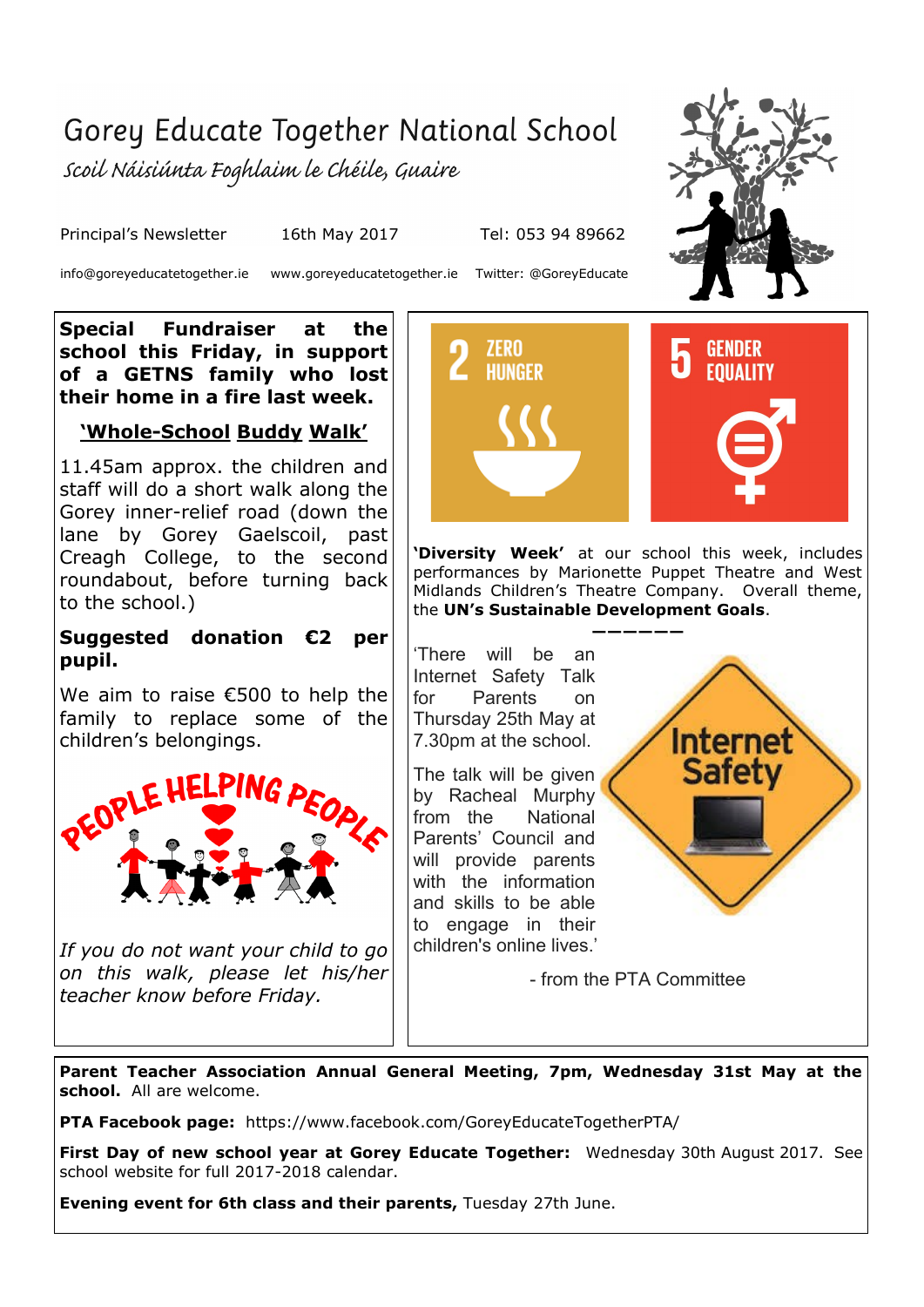## Gorey Educate Together National School

scoil Náisiúnta Foghlaim le Chéile, Guaire

Principal's Newsletter 16th May 2017 Tel: 053 94 89662

info@goreyeducatetogether.ie www.goreyeducatetogether.ie Twitter: @GoreyEducate

**Special Fundraiser at the school this Friday, in support of a GETNS family who lost their home in a fire last week.**

### **'Whole-School Buddy Walk'**

11.45am approx. the children and staff will do a short walk along the Gorey inner-relief road (down the lane by Gorey Gaelscoil, past Creagh College, to the second roundabout, before turning back to the school.)

### **Suggested donation €2 per pupil.**

We aim to raise €500 to help the family to replace some of the children's belongings.



*If you do not want your child to go on this walk, please let his/her teacher know before Friday.*



**'Diversity Week'** at our school this week, includes performances by Marionette Puppet Theatre and West Midlands Children's Theatre Company. Overall theme, the **UN's Sustainable Development Goals**.

**——————** 'There will be an Internet Safety Talk for Parents on Thursday 25th May at 7.30pm at the school.

The talk will be given by Racheal Murphy from the National Parents' Council and will provide parents with the information and skills to be able to engage in their children's online lives.'



- from the PTA Committee

**Parent Teacher Association Annual General Meeting, 7pm, Wednesday 31st May at the school.** All are welcome.

**PTA Facebook page:** https://www.facebook.com/GoreyEducateTogetherPTA/

**First Day of new school year at Gorey Educate Together:** Wednesday 30th August 2017. See school website for full 2017-2018 calendar.

**Evening event for 6th class and their parents,** Tuesday 27th June.